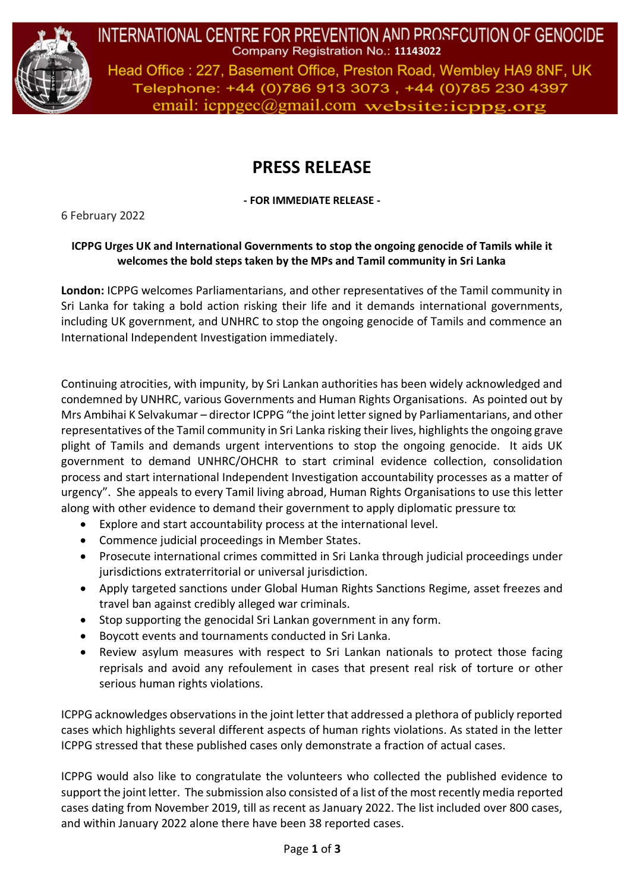

INTERNATIONAL CENTRE FOR PREVENTION AND PROSFCUTION OF GENOCIDE Company Registration No.: 11143022 Head Office: 227, Basement Office, Preston Road, Wembley HA9 8NF, UK Telephone: +44 (0)786 913 3073, +44 (0)785 230 4397

email:  $icpp\text{g}ec(\theta)$ gmail.com website: $icpp\text{g}.\text{org}$ 

## **PRESS RELEASE**

**- FOR IMMEDIATE RELEASE -**

6 February 2022

## **ICPPG Urges UK and International Governments to stop the ongoing genocide of Tamils while it welcomes the bold steps taken by the MPs and Tamil community in Sri Lanka**

**London:** ICPPG welcomes Parliamentarians, and other representatives of the Tamil community in Sri Lanka for taking a bold action risking their life and it demands international governments, including UK government, and UNHRC to stop the ongoing genocide of Tamils and commence an International Independent Investigation immediately.

Continuing atrocities, with impunity, by Sri Lankan authorities has been widely acknowledged and condemned by UNHRC, various Governments and Human Rights Organisations. As pointed out by Mrs Ambihai K Selvakumar – director ICPPG "the joint letter signed by Parliamentarians, and other representatives of the Tamil community in Sri Lanka risking their lives, highlights the ongoing grave plight of Tamils and demands urgent interventions to stop the ongoing genocide. It aids UK government to demand UNHRC/OHCHR to start criminal evidence collection, consolidation process and start international Independent Investigation accountability processes as a matter of urgency". She appeals to every Tamil living abroad, Human Rights Organisations to use this letter along with other evidence to demand their government to apply diplomatic pressure to:

- Explore and start accountability process at the international level.
- Commence judicial proceedings in Member States.
- Prosecute international crimes committed in Sri Lanka through judicial proceedings under jurisdictions extraterritorial or universal jurisdiction.
- Apply targeted sanctions under Global Human Rights Sanctions Regime, asset freezes and travel ban against credibly alleged war criminals.
- Stop supporting the genocidal Sri Lankan government in any form.
- Boycott events and tournaments conducted in Sri Lanka.
- Review asylum measures with respect to Sri Lankan nationals to protect those facing reprisals and avoid any refoulement in cases that present real risk of torture or other serious human rights violations.

ICPPG acknowledges observations in the joint letter that addressed a plethora of publicly reported cases which highlights several different aspects of human rights violations. As stated in the letter ICPPG stressed that these published cases only demonstrate a fraction of actual cases.

ICPPG would also like to congratulate the volunteers who collected the published evidence to support the joint letter. The submission also consisted of a list of the most recently media reported cases dating from November 2019, till as recent as January 2022. The list included over 800 cases, and within January 2022 alone there have been 38 reported cases.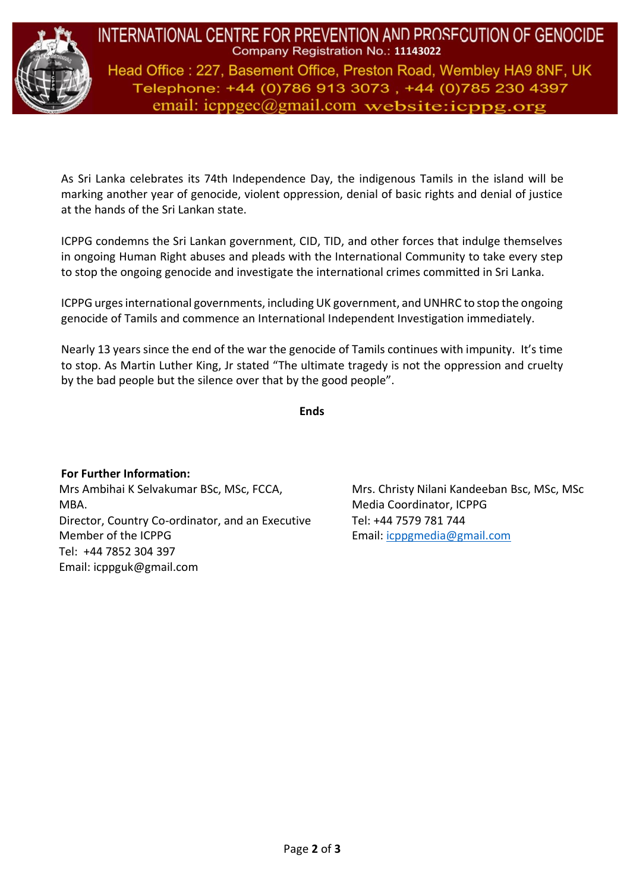

INTERNATIONAL CENTRE FOR PREVENTION AND PROSFCUTION OF GENOCIDE Company Registration No.: 11143022 Head Office: 227, Basement Office, Preston Road, Wembley HA9 8NF, UK Telephone: +44 (0)786 913 3073, +44 (0)785 230 4397

email:  $icpp\text{g}ec(\theta)$ gmail.com website: $icpp\text{g}.\text{org}$ 

As Sri Lanka celebrates its 74th Independence Day, the indigenous Tamils in the island will be marking another year of genocide, violent oppression, denial of basic rights and denial of justice at the hands of the Sri Lankan state.

ICPPG condemns the Sri Lankan government, CID, TID, and other forces that indulge themselves in ongoing Human Right abuses and pleads with the International Community to take every step to stop the ongoing genocide and investigate the international crimes committed in Sri Lanka.

ICPPG urges international governments, including UK government, and UNHRC to stop the ongoing genocide of Tamils and commence an International Independent Investigation immediately.

Nearly 13 years since the end of the war the genocide of Tamils continues with impunity. It's time to stop. As Martin Luther King, Jr stated "The ultimate tragedy is not the oppression and cruelty by the bad people but the silence over that by the good people".

**Ends**

**For Further Information:** Mrs Ambihai K Selvakumar BSc, MSc, FCCA, MBA. Director, Country Co-ordinator, and an Executive Member of the ICPPG Tel: +44 7852 304 397 Email: [icppguk@gmail.com](about:blank)

Mrs. Christy Nilani Kandeeban Bsc, MSc, MSc Media Coordinator, ICPPG Tel: +44 7579 781 744 Email: [icppgmedia@gmail.com](about:blank)